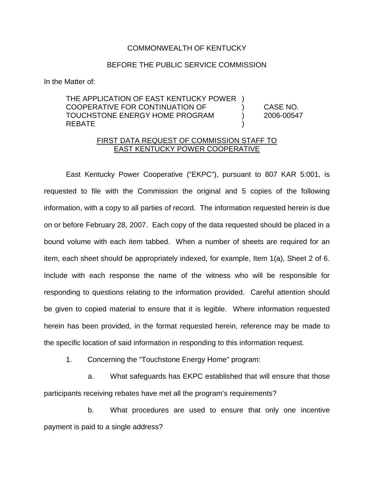## COMMONWEALTH OF KENTUCKY

## BEFORE THE PUBLIC SERVICE COMMISSION

In the Matter of:

THE APPLICATION OF EAST KENTUCKY POWER ) COOPERATIVE FOR CONTINUATION OF ) CASE NO. TOUCHSTONE ENERGY HOME PROGRAM ) 2006-00547 REBATE )

## FIRST DATA REQUEST OF COMMISSION STAFF TO EAST KENTUCKY POWER COOPERATIVE

East Kentucky Power Cooperative ("EKPC"), pursuant to 807 KAR 5:001, is requested to file with the Commission the original and 5 copies of the following information, with a copy to all parties of record. The information requested herein is due on or before February 28, 2007. Each copy of the data requested should be placed in a bound volume with each item tabbed. When a number of sheets are required for an item, each sheet should be appropriately indexed, for example, Item 1(a), Sheet 2 of 6. Include with each response the name of the witness who will be responsible for responding to questions relating to the information provided. Careful attention should be given to copied material to ensure that it is legible. Where information requested herein has been provided, in the format requested herein, reference may be made to the specific location of said information in responding to this information request.

1. Concerning the "Touchstone Energy Home" program:

a. What safeguards has EKPC established that will ensure that those participants receiving rebates have met all the program's requirements?

b. What procedures are used to ensure that only one incentive payment is paid to a single address?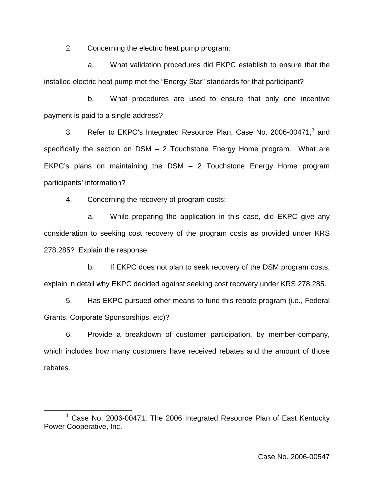2. Concerning the electric heat pump program:

a. What validation procedures did EKPC establish to ensure that the installed electric heat pump met the "Energy Star" standards for that participant?

b. What procedures are used to ensure that only one incentive payment is paid to a single address?

3. Refer to EKPC's Integrated Resource Plan, Case No. 2006-00471,<sup>1</sup> and specifically the section on  $DSM - 2$  Touchstone Energy Home program. What are EKPC's plans on maintaining the DSM – 2 Touchstone Energy Home program participants' information?

4. Concerning the recovery of program costs:

a. While preparing the application in this case, did EKPC give any consideration to seeking cost recovery of the program costs as provided under KRS 278.285? Explain the response.

b. If EKPC does not plan to seek recovery of the DSM program costs, explain in detail why EKPC decided against seeking cost recovery under KRS 278.285.

5. Has EKPC pursued other means to fund this rebate program (i.e., Federal Grants, Corporate Sponsorships, etc)?

6. Provide a breakdown of customer participation, by member-company, which includes how many customers have received rebates and the amount of those rebates.

<sup>&</sup>lt;sup>1</sup> Case No. 2006-00471, The 2006 Integrated Resource Plan of East Kentucky Power Cooperative, Inc.